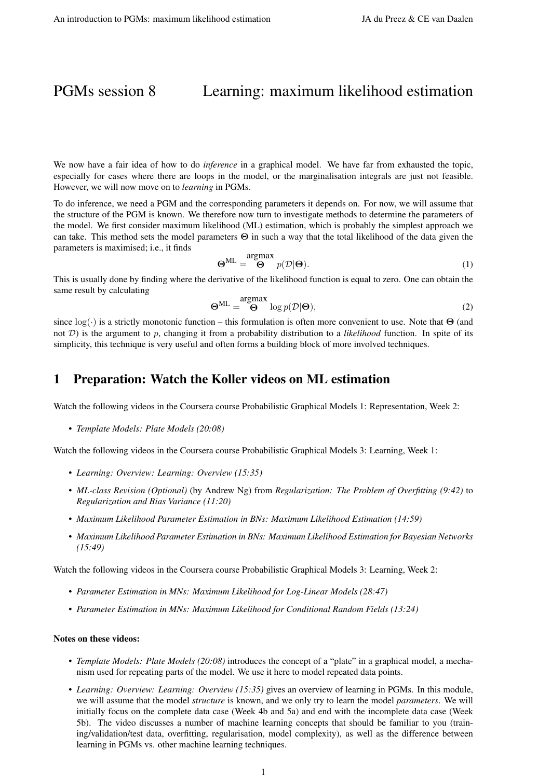# PGMs session 8 Learning: maximum likelihood estimation

We now have a fair idea of how to do *inference* in a graphical model. We have far from exhausted the topic, especially for cases where there are loops in the model, or the marginalisation integrals are just not feasible. However, we will now move on to *learning* in PGMs.

To do inference, we need a PGM and the corresponding parameters it depends on. For now, we will assume that the structure of the PGM is known. We therefore now turn to investigate methods to determine the parameters of the model. We first consider maximum likelihood (ML) estimation, which is probably the simplest approach we can take. This method sets the model parameters  $\Theta$  in such a way that the total likelihood of the data given the parameters is maximised; i.e., it finds

$$
\Theta^{\text{ML}} = \bigoplus^{\text{argmax}} p(\mathcal{D}|\Theta). \tag{1}
$$

This is usually done by finding where the derivative of the likelihood function is equal to zero. One can obtain the same result by calculating

$$
\mathbf{\Theta}^{\mathrm{ML}} = \mathbf{\Theta}^{\mathrm{argmax}} \log p(\mathcal{D}|\mathbf{\Theta}), \tag{2}
$$

since  $\log(\cdot)$  is a strictly monotonic function – this formulation is often more convenient to use. Note that  $\Theta$  (and not  $D$ ) is the argument to p, changing it from a probability distribution to a *likelihood* function. In spite of its simplicity, this technique is very useful and often forms a building block of more involved techniques.

## 1 Preparation: Watch the Koller videos on ML estimation

Watch the following videos in the Coursera course Probabilistic Graphical Models 1: Representation, Week 2:

• *Template Models: Plate Models (20:08)*

Watch the following videos in the Coursera course Probabilistic Graphical Models 3: Learning, Week 1:

- *Learning: Overview: Learning: Overview (15:35)*
- *ML-class Revision (Optional)* (by Andrew Ng) from *Regularization: The Problem of Overfitting (9:42)* to *Regularization and Bias Variance (11:20)*
- *Maximum Likelihood Parameter Estimation in BNs: Maximum Likelihood Estimation (14:59)*
- *Maximum Likelihood Parameter Estimation in BNs: Maximum Likelihood Estimation for Bayesian Networks (15:49)*

Watch the following videos in the Coursera course Probabilistic Graphical Models 3: Learning, Week 2:

- *Parameter Estimation in MNs: Maximum Likelihood for Log-Linear Models (28:47)*
- *Parameter Estimation in MNs: Maximum Likelihood for Conditional Random Fields (13:24)*

#### Notes on these videos:

- *Template Models: Plate Models (20:08)* introduces the concept of a "plate" in a graphical model, a mechanism used for repeating parts of the model. We use it here to model repeated data points.
- *Learning: Overview: Learning: Overview (15:35)* gives an overview of learning in PGMs. In this module, we will assume that the model *structure* is known, and we only try to learn the model *parameters*. We will initially focus on the complete data case (Week 4b and 5a) and end with the incomplete data case (Week 5b). The video discusses a number of machine learning concepts that should be familiar to you (training/validation/test data, overfitting, regularisation, model complexity), as well as the difference between learning in PGMs vs. other machine learning techniques.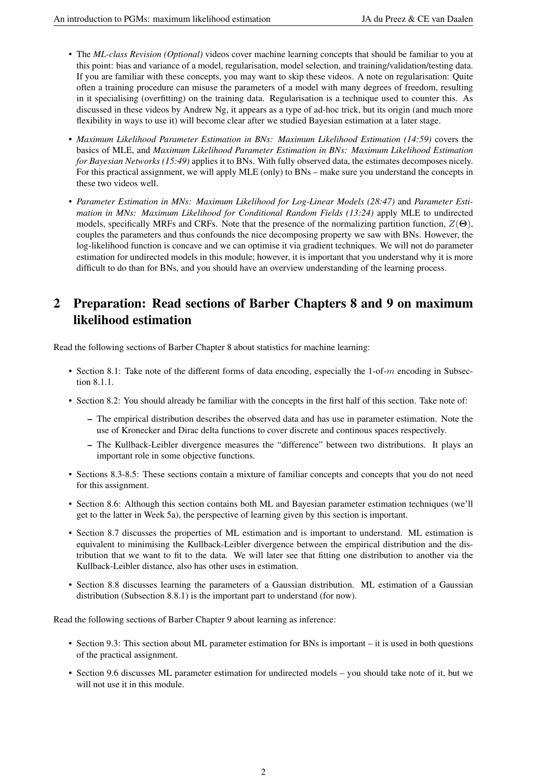- The *ML-class Revision (Optional)* videos cover machine learning concepts that should be familiar to you at this point: bias and variance of a model, regularisation, model selection, and training/validation/testing data. If you are familiar with these concepts, you may want to skip these videos. A note on regularisation: Quite often a training procedure can misuse the parameters of a model with many degrees of freedom, resulting in it specialising (overfitting) on the training data. Regularisation is a technique used to counter this. As discussed in these videos by Andrew Ng, it appears as a type of ad-hoc trick, but its origin (and much more flexibility in ways to use it) will become clear after we studied Bayesian estimation at a later stage.
- *Maximum Likelihood Parameter Estimation in BNs: Maximum Likelihood Estimation (14:59)* covers the basics of MLE, and *Maximum Likelihood Parameter Estimation in BNs: Maximum Likelihood Estimation for Bayesian Networks (15:49)* applies it to BNs. With fully observed data, the estimates decomposes nicely. For this practical assignment, we will apply MLE (only) to BNs – make sure you understand the concepts in these two videos well.
- *Parameter Estimation in MNs: Maximum Likelihood for Log-Linear Models (28:47)* and *Parameter Estimation in MNs: Maximum Likelihood for Conditional Random Fields (13:24)* apply MLE to undirected models, specifically MRFs and CRFs. Note that the presence of the normalizing partition function,  $Z(\Theta)$ , couples the parameters and thus confounds the nice decomposing property we saw with BNs. However, the log-likelihood function is concave and we can optimise it via gradient techniques. We will not do parameter estimation for undirected models in this module; however, it is important that you understand why it is more difficult to do than for BNs, and you should have an overview understanding of the learning process.

## 2 Preparation: Read sections of Barber Chapters 8 and 9 on maximum likelihood estimation

Read the following sections of Barber Chapter 8 about statistics for machine learning:

- Section 8.1: Take note of the different forms of data encoding, especially the 1-of-m encoding in Subsection 8.1.1.
- Section 8.2: You should already be familiar with the concepts in the first half of this section. Take note of:
	- The empirical distribution describes the observed data and has use in parameter estimation. Note the use of Kronecker and Dirac delta functions to cover discrete and continous spaces respectively.
	- The Kullback-Leibler divergence measures the "difference" between two distributions. It plays an important role in some objective functions.
- Sections 8.3-8.5: These sections contain a mixture of familiar concepts and concepts that you do not need for this assignment.
- Section 8.6: Although this section contains both ML and Bayesian parameter estimation techniques (we'll get to the latter in Week 5a), the perspective of learning given by this section is important.
- Section 8.7 discusses the properties of ML estimation and is important to understand. ML estimation is equivalent to minimising the Kullback-Leibler divergence between the empirical distribution and the distribution that we want to fit to the data. We will later see that fitting one distribution to another via the Kullback-Leibler distance, also has other uses in estimation.
- Section 8.8 discusses learning the parameters of a Gaussian distribution. ML estimation of a Gaussian distribution (Subsection 8.8.1) is the important part to understand (for now).

Read the following sections of Barber Chapter 9 about learning as inference:

- Section 9.3: This section about ML parameter estimation for BNs is important it is used in both questions of the practical assignment.
- Section 9.6 discusses ML parameter estimation for undirected models you should take note of it, but we will not use it in this module.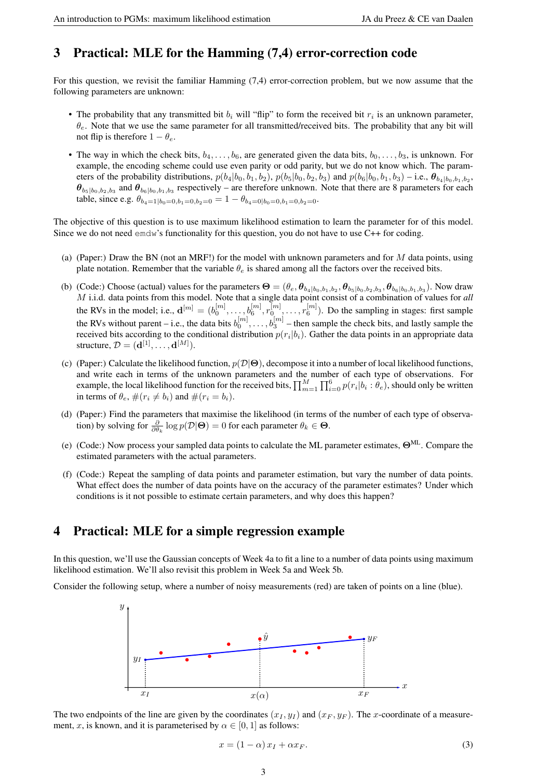## 3 Practical: MLE for the Hamming (7,4) error-correction code

For this question, we revisit the familiar Hamming (7,4) error-correction problem, but we now assume that the following parameters are unknown:

- The probability that any transmitted bit  $b_i$  will "flip" to form the received bit  $r_i$  is an unknown parameter,  $\theta_e$ . Note that we use the same parameter for all transmitted/received bits. The probability that any bit will not flip is therefore  $1 - \theta_e$ .
- The way in which the check bits,  $b_4, \ldots, b_6$ , are generated given the data bits,  $b_0, \ldots, b_3$ , is unknown. For example, the encoding scheme could use even parity or odd parity, but we do not know which. The parameters of the probability distributions,  $p(b_4|b_0, b_1, b_2)$ ,  $p(b_5|b_0, b_2, b_3)$  and  $p(b_6|b_0, b_1, b_3)$  – i.e.,  $\theta_{b_4|b_0, b_1, b_2}$ ,  $\theta_{b_5|b_0,b_2,b_3}$  and  $\theta_{b_6|b_0,b_1,b_3}$  respectively – are therefore unknown. Note that there are 8 parameters for each table, since e.g.  $\theta_{b_4=1|b_0=0,b_1=0,b_2=0} = 1 - \theta_{b_4=0|b_0=0,b_1=0,b_2=0}$ .

The objective of this question is to use maximum likelihood estimation to learn the parameter for of this model. Since we do not need  $\epsilon$ mdw's functionality for this question, you do not have to use C++ for coding.

- (a) (Paper:) Draw the BN (not an MRF!) for the model with unknown parameters and for  $M$  data points, using plate notation. Remember that the variable  $\theta_e$  is shared among all the factors over the received bits.
- (b) (Code:) Choose (actual) values for the parameters  $\Theta = (\theta_e, \theta_{b_4|b_0,b_1,b_2}, \theta_{b_5|b_0,b_2,b_3}, \theta_{b_6|b_0,b_1,b_3})$ . Now draw M i.i.d. data points from this model. Note that a single data point consist of a combination of values for *all* the RVs in the model; i.e.,  $\mathbf{d}^{[m]} = (b_0^{[m]}, \dots, b_6^{[m]}, r_0^{[m]}, \dots, r_6^{[m]})$ . Do the sampling in stages: first sample the RVs without parent – i.e., the data bits  $b_0^{[m]}, \ldots, b_3^{[m]}$  – then sample the check bits, and lastly sample the received bits according to the conditional distribution  $p(r_i|b_i)$ . Gather the data points in an appropriate data structure,  $\mathcal{D} = (\mathbf{d}^{[1]}, \dots, \mathbf{d}^{[M]})$ .
- (c) (Paper:) Calculate the likelihood function,  $p(\mathcal{D}|\Theta)$ , decompose it into a number of local likelihood functions, and write each in terms of the unknown parameters and the number of each type of observations. For example, the local likelihood function for the received bits,  $\prod_{m=1}^M\prod_{i=0}^6p(r_i|b_i:\theta_e)$ , should only be written in terms of  $\theta_e$ ,  $\#(r_i \neq b_i)$  and  $\#(r_i = b_i)$ .
- (d) (Paper:) Find the parameters that maximise the likelihood (in terms of the number of each type of observation) by solving for  $\frac{\partial}{\partial \theta_k} \log p(\mathcal{D}|\Theta) = 0$  for each parameter  $\theta_k \in \Theta$ .
- (e) (Code:) Now process your sampled data points to calculate the ML parameter estimates,  $\Theta^{\text{ML}}$ . Compare the estimated parameters with the actual parameters.
- (f) (Code:) Repeat the sampling of data points and parameter estimation, but vary the number of data points. What effect does the number of data points have on the accuracy of the parameter estimates? Under which conditions is it not possible to estimate certain parameters, and why does this happen?

## 4 Practical: MLE for a simple regression example

In this question, we'll use the Gaussian concepts of Week 4a to fit a line to a number of data points using maximum likelihood estimation. We'll also revisit this problem in Week 5a and Week 5b.

Consider the following setup, where a number of noisy measurements (red) are taken of points on a line (blue).



The two endpoints of the line are given by the coordinates  $(x_I, y_I)$  and  $(x_F, y_F)$ . The x-coordinate of a measurement, x, is known, and it is parameterised by  $\alpha \in [0, 1]$  as follows:

$$
x = (1 - \alpha) x_I + \alpha x_F. \tag{3}
$$